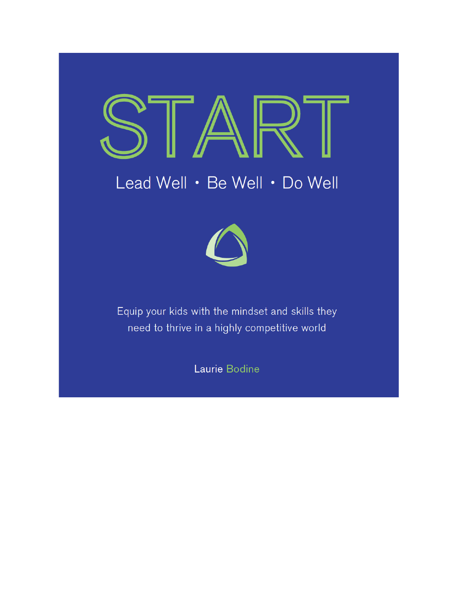# Lead Well . Be Well . Do Well



Equip your kids with the mindset and skills they need to thrive in a highly competitive world

Laurie Bodine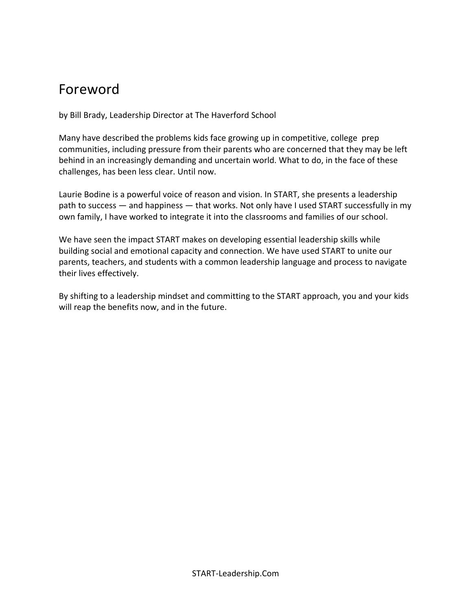## Foreword

by Bill Brady, Leadership Director at The Haverford School

Many have described the problems kids face growing up in competitive, college prep communities, including pressure from their parents who are concerned that they may be left behind in an increasingly demanding and uncertain world. What to do, in the face of these challenges, has been less clear. Until now.

Laurie Bodine is a powerful voice of reason and vision. In START, she presents a leadership path to success — and happiness — that works. Not only have I used START successfully in my own family, I have worked to integrate it into the classrooms and families of our school.

We have seen the impact START makes on developing essential leadership skills while building social and emotional capacity and connection. We have used START to unite our parents, teachers, and students with a common leadership language and process to navigate their lives effectively.

By shifting to a leadership mindset and committing to the START approach, you and your kids will reap the benefits now, and in the future.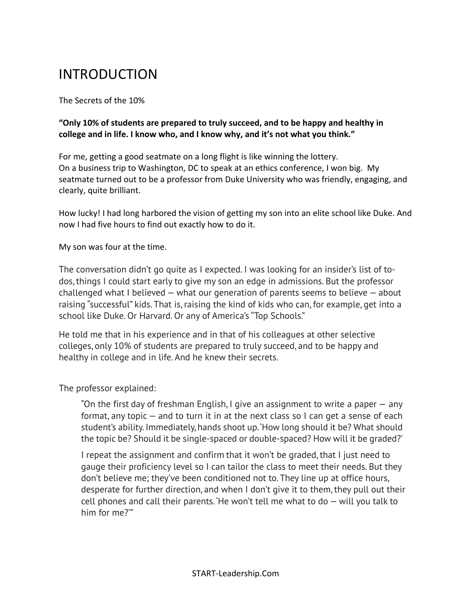# INTRODUCTION

The Secrets of the 10%

**"Only 10% of students are prepared to truly succeed, and to be happy and healthy in college and in life. I know who, and I know why, and it's not what you think."**

For me, getting a good seatmate on a long flight is like winning the lottery. On a business trip to Washington, DC to speak at an ethics conference, I won big. My seatmate turned out to be a professor from Duke University who was friendly, engaging, and clearly, quite brilliant.

How lucky! I had long harbored the vision of getting my son into an elite school like Duke. And now I had five hours to find out exactly how to do it.

My son was four at the time.

The conversation didn't go quite as I expected. I was looking for an insider's list of todos, things I could start early to give my son an edge in admissions. But the professor challenged what I believed — what our generation of parents seems to believe — about raising "successful" kids. That is, raising the kind of kids who can, for example, get into a school like Duke. Or Harvard. Or any of America's "Top Schools."

He told me that in his experience and in that of his colleagues at other selective colleges, only 10% of students are prepared to truly succeed, and to be happy and healthy in college and in life. And he knew their secrets.

The professor explained:

"On the first day of freshman English, I give an assignment to write a paper — any format, any topic — and to turn it in at the next class so I can get a sense of each student's ability. Immediately, hands shoot up.'How long should it be? What should the topic be? Should it be single-spaced or double-spaced? How will it be graded?'

I repeat the assignment and confirm that it won't be graded, that I just need to gauge their proficiency level so I can tailor the class to meet their needs. But they don't believe me; they've been conditioned not to. They line up at office hours, desperate for further direction, and when I don't give it to them, they pull out their cell phones and call their parents. He won't tell me what to  $do -$  will you talk to him for me?'"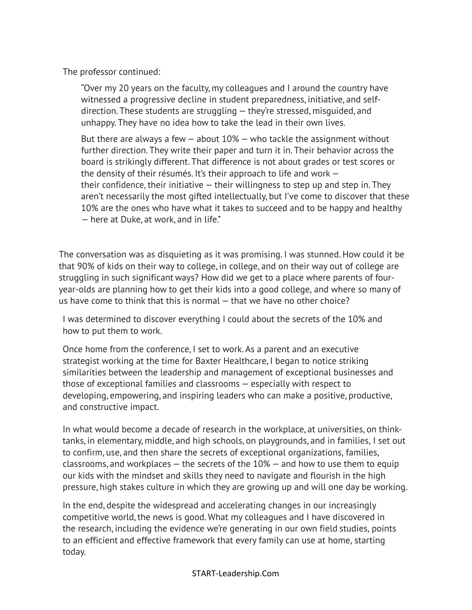The professor continued:

"Over my 20 years on the faculty, my colleagues and I around the country have witnessed a progressive decline in student preparedness, initiative, and selfdirection. These students are struggling — they're stressed, misguided, and unhappy. They have no idea how to take the lead in their own lives.

But there are always a few  $-$  about 10%  $-$  who tackle the assignment without further direction. They write their paper and turn it in. Their behavior across the board is strikingly different. That difference is not about grades or test scores or the density of their résumés. It's their approach to life and work their confidence, their initiative  $-$  their willingness to step up and step in. They aren't necessarily the most gifted intellectually, but I've come to discover that these 10% are the ones who have what it takes to succeed and to be happy and healthy — here at Duke, at work, and in life."

The conversation was as disquieting as it was promising. I was stunned. How could it be that 90% of kids on their way to college, in college, and on their way out of college are struggling in such significant ways? How did we get to a place where parents of fouryear-olds are planning how to get their kids into a good college, and where so many of us have come to think that this is normal — that we have no other choice?

I was determined to discover everything I could about the secrets of the 10% and how to put them to work.

Once home from the conference, I set to work. As a parent and an executive strategist working at the time for Baxter Healthcare, I began to notice striking similarities between the leadership and management of exceptional businesses and those of exceptional families and classrooms — especially with respect to developing, empowering, and inspiring leaders who can make a positive, productive, and constructive impact.

In what would become a decade of research in the workplace, at universities, on thinktanks, in elementary, middle, and high schools, on playgrounds, and in families, I set out to confirm, use, and then share the secrets of exceptional organizations, families, classrooms, and workplaces  $-$  the secrets of the  $10\%$   $-$  and how to use them to equip our kids with the mindset and skills they need to navigate and flourish in the high pressure, high stakes culture in which they are growing up and will one day be working.

In the end, despite the widespread and accelerating changes in our increasingly competitive world, the news is good. What my colleagues and I have discovered in the research, including the evidence we're generating in our own field studies, points to an efficient and effective framework that every family can use at home, starting today.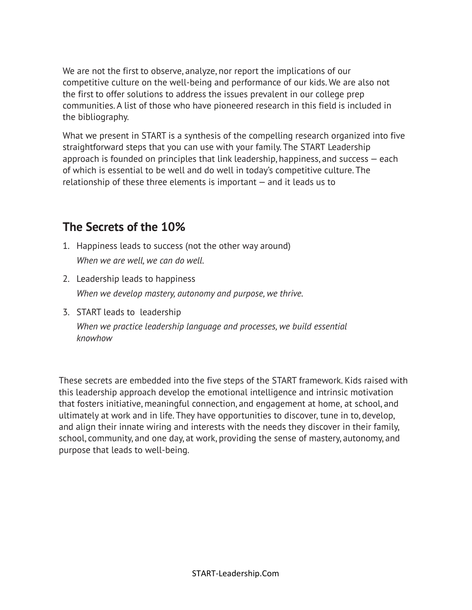We are not the first to observe, analyze, nor report the implications of our competitive culture on the well-being and performance of our kids. We are also not the first to offer solutions to address the issues prevalent in our college prep communities. A list of those who have pioneered research in this field is included in the bibliography.

What we present in START is a synthesis of the compelling research organized into five straightforward steps that you can use with your family. The START Leadership approach is founded on principles that link leadership, happiness, and success — each of which is essential to be well and do well in today's competitive culture. The relationship of these three elements is important — and it leads us to

## **The Secrets of the 10%**

- 1. Happiness leads to success (not the other way around) *When we are well, we can do well.*
- 2. Leadership leads to happiness *When we develop mastery, autonomy and purpose, we thrive.*
- 3. START leads to leadership *When we practice leadership language and processes, we build essential knowhow*

These secrets are embedded into the five steps of the START framework. Kids raised with this leadership approach develop the emotional intelligence and intrinsic motivation that fosters initiative, meaningful connection, and engagement at home, at school, and ultimately at work and in life. They have opportunities to discover, tune in to, develop, and align their innate wiring and interests with the needs they discover in their family, school, community, and one day, at work, providing the sense of mastery, autonomy, and purpose that leads to well-being.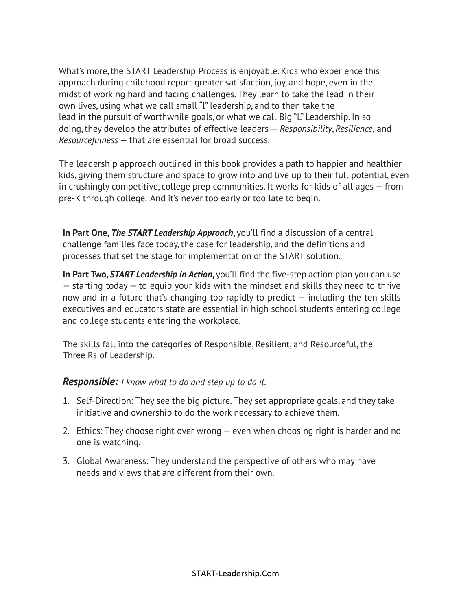What's more, the START Leadership Process is enjoyable. Kids who experience this approach during childhood report greater satisfaction, joy, and hope, even in the midst of working hard and facing challenges. They learn to take the lead in their own lives, using what we call small "l" leadership, and to then take the lead in the pursuit of worthwhile goals, or what we call Big "L" Leadership. In so doing, they develop the attributes of effective leaders — *Responsibility*, *Resilience*, and *Resourcefulness* — that are essential for broad success.

The leadership approach outlined in this book provides a path to happier and healthier kids, giving them structure and space to grow into and live up to their full potential, even in crushingly competitive, college prep communities. It works for kids of all ages — from pre-K through college. And it's never too early or too late to begin.

**In Part One,** *The START Leadership Approach***,** you'll find a discussion of a central challenge families face today, the case for leadership, and the definitions and processes that set the stage for implementation of the START solution.

**In Part Two,** *START Leadership in Action***,** you'll find the five-step action plan you can use — starting today — to equip your kids with the mindset and skills they need to thrive now and in a future that's changing too rapidly to predict – including the ten skills executives and educators state are essential in high school students entering college and college students entering the workplace.

The skills fall into the categories of Responsible, Resilient, and Resourceful, the Three Rs of Leadership.

## *Responsible: I know what to do and step up to do it.*

- 1. Self-Direction: They see the big picture. They set appropriate goals, and they take initiative and ownership to do the work necessary to achieve them.
- 2. Ethics: They choose right over wrong even when choosing right is harder and no one is watching.
- 3. Global Awareness: They understand the perspective of others who may have needs and views that are different from their own.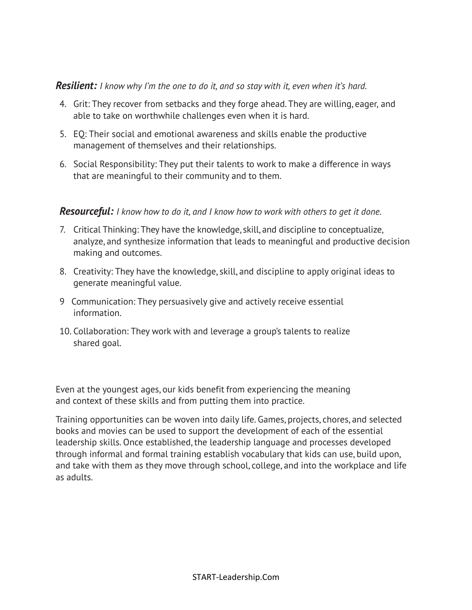### *Resilient: I know why I'm the one to do it, and so stay with it, even when it's hard.*

- 4. Grit: They recover from setbacks and they forge ahead. They are willing, eager, and able to take on worthwhile challenges even when it is hard.
- 5. EQ: Their social and emotional awareness and skills enable the productive management of themselves and their relationships.
- 6. Social Responsibility: They put their talents to work to make a difference in ways that are meaningful to their community and to them.

## *Resourceful: I know how to do it, and I know how to work with others to get it done.*

- 7. Critical Thinking: They have the knowledge, skill, and discipline to conceptualize, analyze, and synthesize information that leads to meaningful and productive decision making and outcomes.
- 8. Creativity: They have the knowledge, skill, and discipline to apply original ideas to generate meaningful value.
- 9 Communication: They persuasively give and actively receive essential information.
- 10. Collaboration: They work with and leverage a group's talents to realize shared goal.

Even at the youngest ages, our kids benefit from experiencing the meaning and context of these skills and from putting them into practice.

Training opportunities can be woven into daily life. Games, projects, chores, and selected books and movies can be used to support the development of each of the essential leadership skills. Once established, the leadership language and processes developed through informal and formal training establish vocabulary that kids can use, build upon, and take with them as they move through school, college, and into the workplace and life as adults.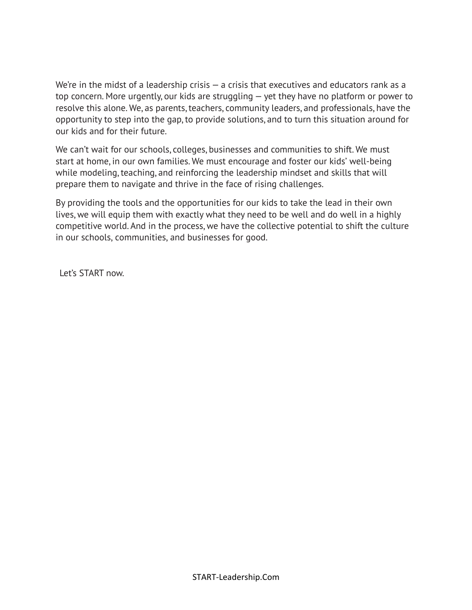We're in the midst of a leadership crisis  $-$  a crisis that executives and educators rank as a top concern. More urgently, our kids are struggling — yet they have no platform or power to resolve this alone. We, as parents, teachers, community leaders, and professionals, have the opportunity to step into the gap, to provide solutions, and to turn this situation around for our kids and for their future.

We can't wait for our schools, colleges, businesses and communities to shift. We must start at home, in our own families. We must encourage and foster our kids' well-being while modeling, teaching, and reinforcing the leadership mindset and skills that will prepare them to navigate and thrive in the face of rising challenges.

By providing the tools and the opportunities for our kids to take the lead in their own lives, we will equip them with exactly what they need to be well and do well in a highly competitive world. And in the process, we have the collective potential to shift the culture in our schools, communities, and businesses for good.

Let's START now.